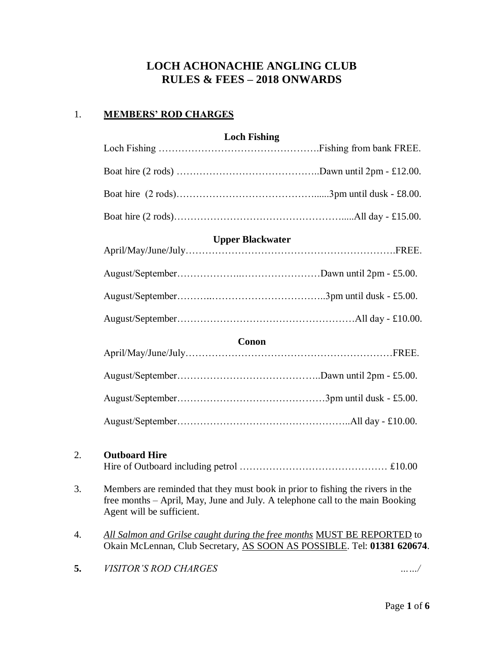# **LOCH ACHONACHIE ANGLING CLUB RULES & FEES – 2018 ONWARDS**

## 1. **MEMBERS' ROD CHARGES**

| <b>Loch Fishing</b>     |  |  |  |  |
|-------------------------|--|--|--|--|
|                         |  |  |  |  |
|                         |  |  |  |  |
|                         |  |  |  |  |
|                         |  |  |  |  |
| <b>Upper Blackwater</b> |  |  |  |  |
|                         |  |  |  |  |
|                         |  |  |  |  |
|                         |  |  |  |  |
|                         |  |  |  |  |
| Conon                   |  |  |  |  |
|                         |  |  |  |  |
|                         |  |  |  |  |
|                         |  |  |  |  |
|                         |  |  |  |  |
|                         |  |  |  |  |

# 2. **Outboard Hire**

|--|--|--|

- 3. Members are reminded that they must book in prior to fishing the rivers in the free months – April, May, June and July. A telephone call to the main Booking Agent will be sufficient.
- 4. *All Salmon and Grilse caught during the free months* MUST BE REPORTED to Okain McLennan, Club Secretary, AS SOON AS POSSIBLE. Tel: **01381 620674**.

**5.** *VISITOR'S ROD CHARGES ……/*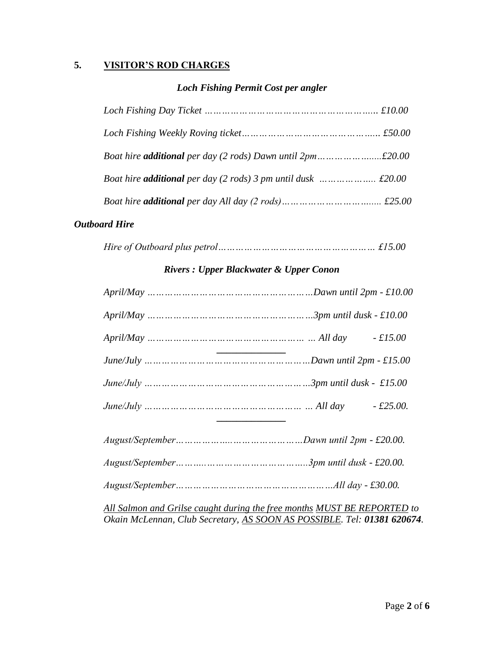# **5. VISITOR'S ROD CHARGES**

# *Loch Fishing Permit Cost per angler*

# *Outboard Hire*

|--|--|--|--|

# *Rivers : Upper Blackwater & Upper Conon*

| $April/May \dots 10.00$                                                                                                                            |  |  |  |  |
|----------------------------------------------------------------------------------------------------------------------------------------------------|--|--|--|--|
| $April/May \dots 10.00$                                                                                                                            |  |  |  |  |
| $April/May \dots \dots \dots \dots \dots \dots \dots \dots \dots \dots \dots \dots \dots \dots \dots All day \qquad - £15.00$                      |  |  |  |  |
|                                                                                                                                                    |  |  |  |  |
|                                                                                                                                                    |  |  |  |  |
|                                                                                                                                                    |  |  |  |  |
|                                                                                                                                                    |  |  |  |  |
|                                                                                                                                                    |  |  |  |  |
|                                                                                                                                                    |  |  |  |  |
| All Salmon and Grilse caught during the free months MUST BE REPORTED to<br>Okain McLennan, Club Secretary, AS SOON AS POSSIBLE. Tel: 01381 620674. |  |  |  |  |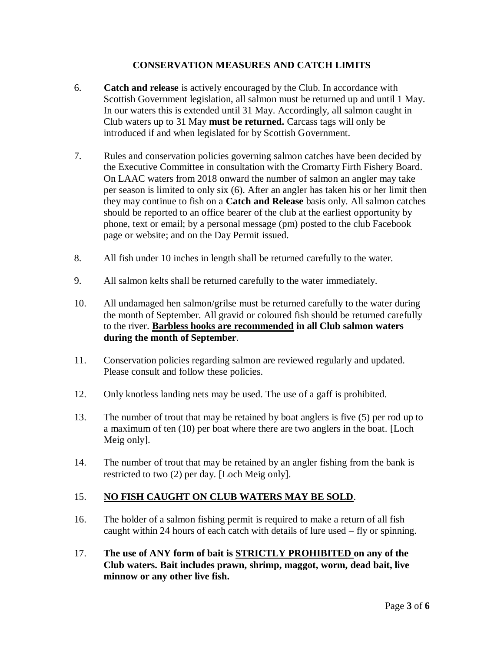## **CONSERVATION MEASURES AND CATCH LIMITS**

- 6. **Catch and release** is actively encouraged by the Club. In accordance with Scottish Government legislation, all salmon must be returned up and until 1 May. In our waters this is extended until 31 May. Accordingly, all salmon caught in Club waters up to 31 May **must be returned.** Carcass tags will only be introduced if and when legislated for by Scottish Government.
- 7. Rules and conservation policies governing salmon catches have been decided by the Executive Committee in consultation with the Cromarty Firth Fishery Board. On LAAC waters from 2018 onward the number of salmon an angler may take per season is limited to only six (6). After an angler has taken his or her limit then they may continue to fish on a **Catch and Release** basis only. All salmon catches should be reported to an office bearer of the club at the earliest opportunity by phone, text or email; by a personal message (pm) posted to the club Facebook page or website; and on the Day Permit issued.
- 8. All fish under 10 inches in length shall be returned carefully to the water.
- 9. All salmon kelts shall be returned carefully to the water immediately.
- 10. All undamaged hen salmon/grilse must be returned carefully to the water during the month of September. All gravid or coloured fish should be returned carefully to the river. **Barbless hooks are recommended in all Club salmon waters during the month of September**.
- 11. Conservation policies regarding salmon are reviewed regularly and updated. Please consult and follow these policies.
- 12. Only knotless landing nets may be used. The use of a gaff is prohibited.
- 13. The number of trout that may be retained by boat anglers is five (5) per rod up to a maximum of ten (10) per boat where there are two anglers in the boat. [Loch Meig only].
- 14. The number of trout that may be retained by an angler fishing from the bank is restricted to two (2) per day. [Loch Meig only].

## 15. **NO FISH CAUGHT ON CLUB WATERS MAY BE SOLD**.

- 16. The holder of a salmon fishing permit is required to make a return of all fish caught within 24 hours of each catch with details of lure used – fly or spinning.
- 17. **The use of ANY form of bait is STRICTLY PROHIBITED on any of the Club waters. Bait includes prawn, shrimp, maggot, worm, dead bait, live minnow or any other live fish.**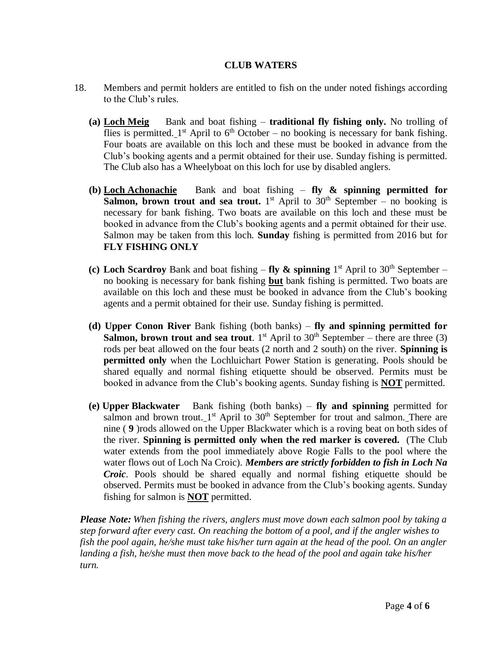#### **CLUB WATERS**

- 18. Members and permit holders are entitled to fish on the under noted fishings according to the Club's rules.
	- **(a) Loch Meig** Bank and boat fishing **traditional fly fishing only.** No trolling of flies is permitted.  $1<sup>st</sup>$  April to 6<sup>th</sup> October – no booking is necessary for bank fishing. Four boats are available on this loch and these must be booked in advance from the Club's booking agents and a permit obtained for their use. Sunday fishing is permitted. The Club also has a Wheelyboat on this loch for use by disabled anglers.
	- **(b) Loch Achonachie** Bank and boat fishing **fly & spinning permitted for Salmon, brown trout and sea trout.** 1<sup>st</sup> April to  $30<sup>th</sup>$  September – no booking is necessary for bank fishing. Two boats are available on this loch and these must be booked in advance from the Club's booking agents and a permit obtained for their use. Salmon may be taken from this loch. **Sunday** fishing is permitted from 2016 but for **FLY FISHING ONLY**
	- (c) Loch Scardroy Bank and boat fishing  $-$  fly  $\&$  spinning  $1<sup>st</sup>$  April to 30<sup>th</sup> September no booking is necessary for bank fishing **but** bank fishing is permitted. Two boats are available on this loch and these must be booked in advance from the Club's booking agents and a permit obtained for their use. Sunday fishing is permitted.
	- **(d) Upper Conon River** Bank fishing (both banks) **fly and spinning permitted for Salmon, brown trout and sea trout**. 1<sup>st</sup> April to  $30<sup>th</sup>$  September – there are three (3) rods per beat allowed on the four beats (2 north and 2 south) on the river. **Spinning is permitted only** when the Lochluichart Power Station is generating. Pools should be shared equally and normal fishing etiquette should be observed. Permits must be booked in advance from the Club's booking agents. Sunday fishing is **NOT** permitted.
	- **(e) Upper Blackwater** Bank fishing (both banks) **fly and spinning** permitted for salmon and brown trout.  $1<sup>st</sup>$  April to 30<sup>th</sup> September for trout and salmon. There are nine ( **9** )rods allowed on the Upper Blackwater which is a roving beat on both sides of the river. **Spinning is permitted only when the red marker is covered.** (The Club water extends from the pool immediately above Rogie Falls to the pool where the water flows out of Loch Na Croic). *Members are strictly forbidden to fish in Loch Na Croic*. Pools should be shared equally and normal fishing etiquette should be observed. Permits must be booked in advance from the Club's booking agents. Sunday fishing for salmon is **NOT** permitted.

*Please Note: When fishing the rivers, anglers must move down each salmon pool by taking a step forward after every cast. On reaching the bottom of a pool, and if the angler wishes to fish the pool again, he/she must take his/her turn again at the head of the pool. On an angler landing a fish, he/she must then move back to the head of the pool and again take his/her turn.*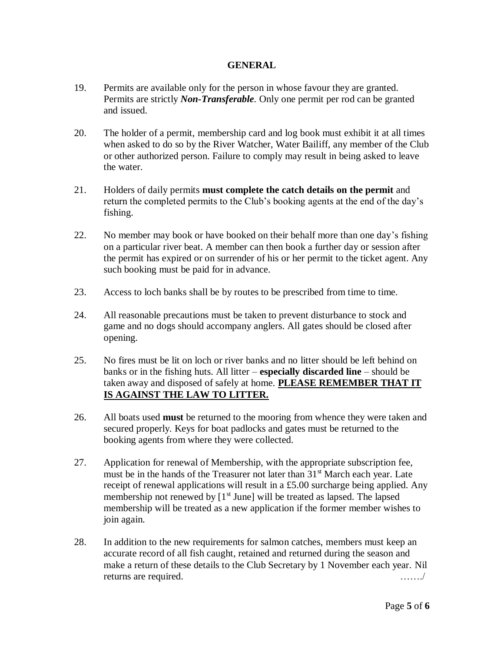#### **GENERAL**

- 19. Permits are available only for the person in whose favour they are granted. Permits are strictly *Non-Transferable.* Only one permit per rod can be granted and issued.
- 20. The holder of a permit, membership card and log book must exhibit it at all times when asked to do so by the River Watcher, Water Bailiff, any member of the Club or other authorized person. Failure to comply may result in being asked to leave the water.
- 21. Holders of daily permits **must complete the catch details on the permit** and return the completed permits to the Club's booking agents at the end of the day's fishing.
- 22. No member may book or have booked on their behalf more than one day's fishing on a particular river beat. A member can then book a further day or session after the permit has expired or on surrender of his or her permit to the ticket agent. Any such booking must be paid for in advance.
- 23. Access to loch banks shall be by routes to be prescribed from time to time.
- 24. All reasonable precautions must be taken to prevent disturbance to stock and game and no dogs should accompany anglers. All gates should be closed after opening.
- 25. No fires must be lit on loch or river banks and no litter should be left behind on banks or in the fishing huts. All litter – **especially discarded line** – should be taken away and disposed of safely at home. **PLEASE REMEMBER THAT IT IS AGAINST THE LAW TO LITTER.**
- 26. All boats used **must** be returned to the mooring from whence they were taken and secured properly. Keys for boat padlocks and gates must be returned to the booking agents from where they were collected.
- 27. Application for renewal of Membership, with the appropriate subscription fee, must be in the hands of the Treasurer not later than  $31<sup>st</sup>$  March each year. Late receipt of renewal applications will result in a £5.00 surcharge being applied. Any membership not renewed by  $[1^{\text{st}}]$  June] will be treated as lapsed. The lapsed membership will be treated as a new application if the former member wishes to join again.
- 28. In addition to the new requirements for salmon catches, members must keep an accurate record of all fish caught, retained and returned during the season and make a return of these details to the Club Secretary by 1 November each year. Nil returns are required.  $\ldots \ldots$